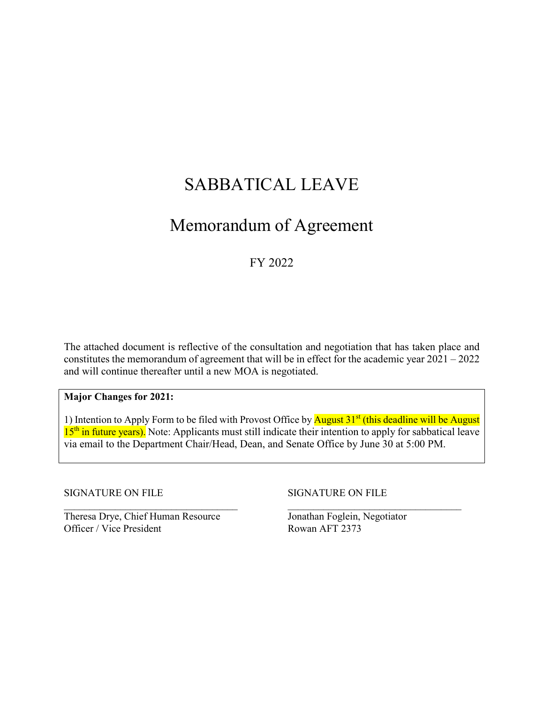# SABBATICAL LEAVE

# Memorandum of Agreement

# FY 2022

The attached document is reflective of the consultation and negotiation that has taken place and constitutes the memorandum of agreement that will be in effect for the academic year 2021 – 2022 and will continue thereafter until a new MOA is negotiated.

**Major Changes for 2021:**

1) Intention to Apply Form to be filed with Provost Office by  $\frac{1}{s}$  August 31<sup>st</sup> (this deadline will be August  $15<sup>th</sup>$  in future years). Note: Applicants must still indicate their intention to apply for sabbatical leave via email to the Department Chair/Head, Dean, and Senate Office by June 30 at 5:00 PM.

SIGNATURE ON FILE SIGNATURE ON FILE

 $\mathcal{L}_\text{max}$  , and the contribution of the contribution of the contribution of the contribution of the contribution of the contribution of the contribution of the contribution of the contribution of the contribution of t Theresa Drye, Chief Human Resource Jonathan Foglein, Negotiator Officer / Vice President Rowan AFT 2373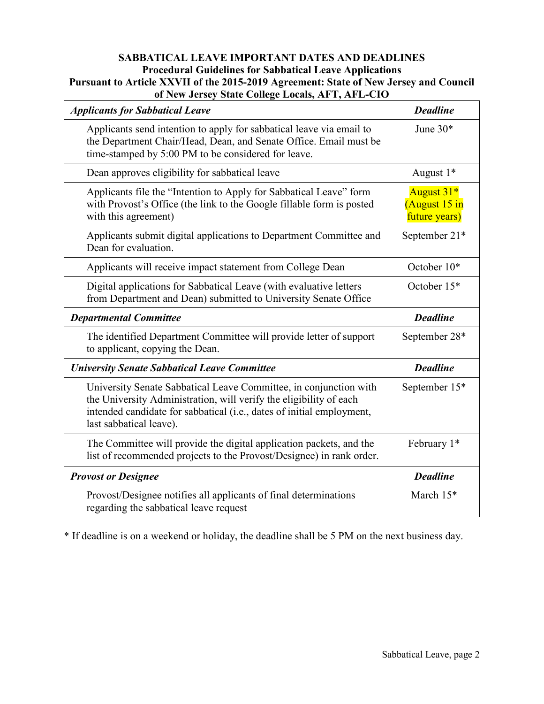#### **SABBATICAL LEAVE IMPORTANT DATES AND DEADLINES Procedural Guidelines for Sabbatical Leave Applications Pursuant to Article XXVII of the 2015-2019 Agreement: State of New Jersey and Council of New Jersey State College Locals, AFT, AFL-CIO**

| <b>Applicants for Sabbatical Leave</b>                                                                                                                                                                                                      | <b>Deadline</b>                              |
|---------------------------------------------------------------------------------------------------------------------------------------------------------------------------------------------------------------------------------------------|----------------------------------------------|
| Applicants send intention to apply for sabbatical leave via email to<br>the Department Chair/Head, Dean, and Senate Office. Email must be<br>time-stamped by 5:00 PM to be considered for leave.                                            | June 30*                                     |
| Dean approves eligibility for sabbatical leave                                                                                                                                                                                              | August $1*$                                  |
| Applicants file the "Intention to Apply for Sabbatical Leave" form<br>with Provost's Office (the link to the Google fillable form is posted<br>with this agreement)                                                                         | August 31*<br>(August 15 in<br>future years) |
| Applicants submit digital applications to Department Committee and<br>Dean for evaluation.                                                                                                                                                  | September 21*                                |
| Applicants will receive impact statement from College Dean                                                                                                                                                                                  | October 10*                                  |
| Digital applications for Sabbatical Leave (with evaluative letters<br>from Department and Dean) submitted to University Senate Office                                                                                                       | October 15*                                  |
| <b>Departmental Committee</b>                                                                                                                                                                                                               | <b>Deadline</b>                              |
| The identified Department Committee will provide letter of support<br>to applicant, copying the Dean.                                                                                                                                       | September 28*                                |
| <b>University Senate Sabbatical Leave Committee</b>                                                                                                                                                                                         | <b>Deadline</b>                              |
| University Senate Sabbatical Leave Committee, in conjunction with<br>the University Administration, will verify the eligibility of each<br>intended candidate for sabbatical (i.e., dates of initial employment,<br>last sabbatical leave). | September 15*                                |
| The Committee will provide the digital application packets, and the<br>list of recommended projects to the Provost/Designee) in rank order.                                                                                                 | February 1*                                  |
| <b>Provost or Designee</b>                                                                                                                                                                                                                  | <b>Deadline</b>                              |
| Provost/Designee notifies all applicants of final determinations<br>regarding the sabbatical leave request                                                                                                                                  | March 15*                                    |

\* If deadline is on a weekend or holiday, the deadline shall be 5 PM on the next business day.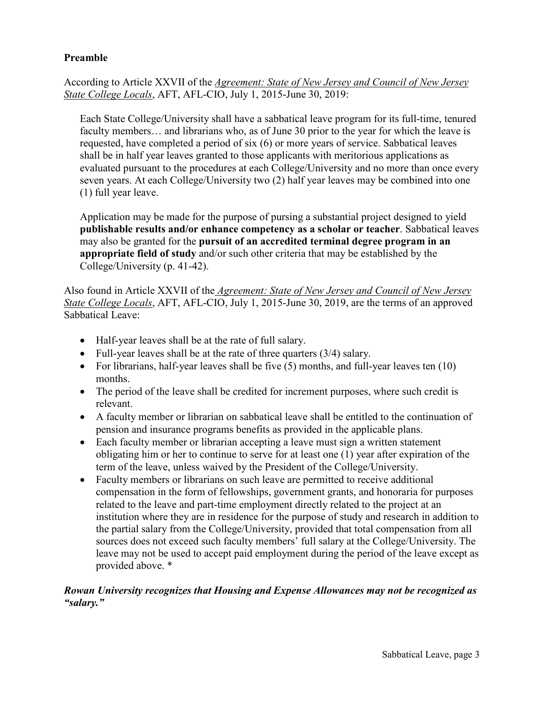#### **Preamble**

According to Article XXVII of the *Agreement: State of New Jersey and Council of New Jersey State College Locals*, AFT, AFL-CIO, July 1, 2015-June 30, 2019:

Each State College/University shall have a sabbatical leave program for its full-time, tenured faculty members... and librarians who, as of June 30 prior to the year for which the leave is requested, have completed a period of six (6) or more years of service. Sabbatical leaves shall be in half year leaves granted to those applicants with meritorious applications as evaluated pursuant to the procedures at each College/University and no more than once every seven years. At each College/University two (2) half year leaves may be combined into one (1) full year leave.

Application may be made for the purpose of pursing a substantial project designed to yield **publishable results and/or enhance competency as a scholar or teacher**. Sabbatical leaves may also be granted for the **pursuit of an accredited terminal degree program in an appropriate field of study** and/or such other criteria that may be established by the College/University (p. 41-42).

Also found in Article XXVII of the *Agreement: State of New Jersey and Council of New Jersey State College Locals*, AFT, AFL-CIO, July 1, 2015-June 30, 2019, are the terms of an approved Sabbatical Leave:

- Half-year leaves shall be at the rate of full salary.
- Full-year leaves shall be at the rate of three quarters (3/4) salary.
- For librarians, half-year leaves shall be five (5) months, and full-year leaves ten (10) months.
- The period of the leave shall be credited for increment purposes, where such credit is relevant.
- A faculty member or librarian on sabbatical leave shall be entitled to the continuation of pension and insurance programs benefits as provided in the applicable plans.
- Each faculty member or librarian accepting a leave must sign a written statement obligating him or her to continue to serve for at least one (1) year after expiration of the term of the leave, unless waived by the President of the College/University.
- Faculty members or librarians on such leave are permitted to receive additional compensation in the form of fellowships, government grants, and honoraria for purposes related to the leave and part-time employment directly related to the project at an institution where they are in residence for the purpose of study and research in addition to the partial salary from the College/University, provided that total compensation from all sources does not exceed such faculty members' full salary at the College/University. The leave may not be used to accept paid employment during the period of the leave except as provided above. \*

## *Rowan University recognizes that Housing and Expense Allowances may not be recognized as "salary."*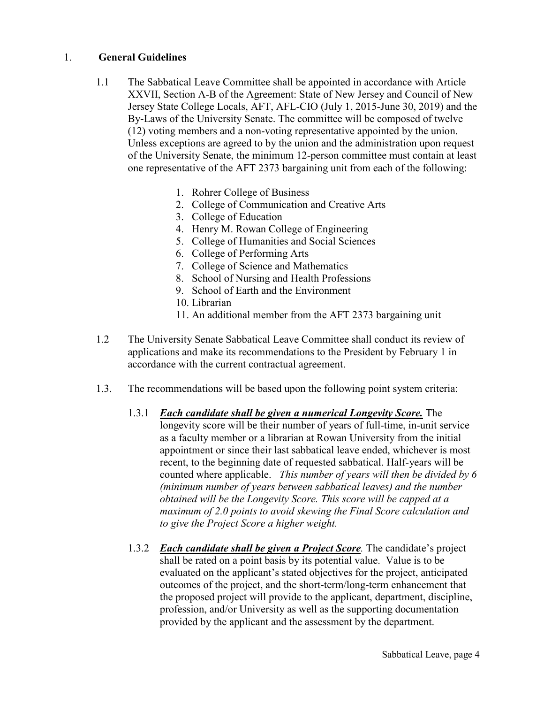## 1. **General Guidelines**

- 1.1 The Sabbatical Leave Committee shall be appointed in accordance with Article XXVII, Section A-B of the Agreement: State of New Jersey and Council of New Jersey State College Locals, AFT, AFL-CIO (July 1, 2015-June 30, 2019) and the By-Laws of the University Senate. The committee will be composed of twelve (12) voting members and a non-voting representative appointed by the union. Unless exceptions are agreed to by the union and the administration upon request of the University Senate, the minimum 12-person committee must contain at least one representative of the AFT 2373 bargaining unit from each of the following:
	- 1. Rohrer College of Business
	- 2. College of Communication and Creative Arts
	- 3. College of Education
	- 4. Henry M. Rowan College of Engineering
	- 5. College of Humanities and Social Sciences
	- 6. College of Performing Arts
	- 7. College of Science and Mathematics
	- 8. School of Nursing and Health Professions
	- 9. School of Earth and the Environment
	- 10. Librarian
	- 11. An additional member from the AFT 2373 bargaining unit
- 1.2 The University Senate Sabbatical Leave Committee shall conduct its review of applications and make its recommendations to the President by February 1 in accordance with the current contractual agreement.
- 1.3. The recommendations will be based upon the following point system criteria:
	- 1.3.1 *Each candidate shall be given a numerical Longevity Score.* The longevity score will be their number of years of full-time, in-unit service as a faculty member or a librarian at Rowan University from the initial appointment or since their last sabbatical leave ended, whichever is most recent, to the beginning date of requested sabbatical. Half-years will be counted where applicable. *This number of years will then be divided by 6 (minimum number of years between sabbatical leaves) and the number obtained will be the Longevity Score. This score will be capped at a maximum of 2.0 points to avoid skewing the Final Score calculation and to give the Project Score a higher weight.*
	- 1.3.2 *Each candidate shall be given a Project Score.* The candidate's project shall be rated on a point basis by its potential value. Value is to be evaluated on the applicant's stated objectives for the project, anticipated outcomes of the project, and the short-term/long-term enhancement that the proposed project will provide to the applicant, department, discipline, profession, and/or University as well as the supporting documentation provided by the applicant and the assessment by the department.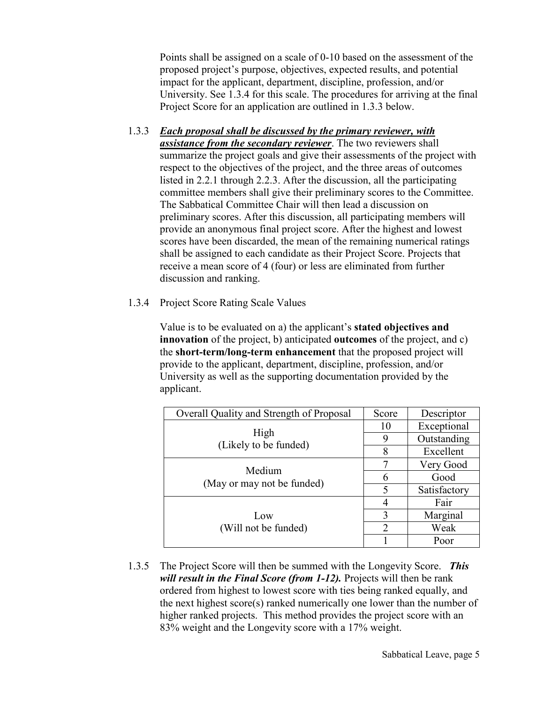Points shall be assigned on a scale of 0-10 based on the assessment of the proposed project's purpose, objectives, expected results, and potential impact for the applicant, department, discipline, profession, and/or University. See 1.3.4 for this scale. The procedures for arriving at the final Project Score for an application are outlined in 1.3.3 below.

- 1.3.3 *Each proposal shall be discussed by the primary reviewer, with assistance from the secondary reviewer*. The two reviewers shall summarize the project goals and give their assessments of the project with respect to the objectives of the project, and the three areas of outcomes listed in 2.2.1 through 2.2.3. After the discussion, all the participating committee members shall give their preliminary scores to the Committee. The Sabbatical Committee Chair will then lead a discussion on preliminary scores. After this discussion, all participating members will provide an anonymous final project score. After the highest and lowest scores have been discarded, the mean of the remaining numerical ratings shall be assigned to each candidate as their Project Score. Projects that receive a mean score of 4 (four) or less are eliminated from further discussion and ranking.
- 1.3.4 Project Score Rating Scale Values

Value is to be evaluated on a) the applicant's **stated objectives and innovation** of the project, b) anticipated **outcomes** of the project, and c) the **short-term/long-term enhancement** that the proposed project will provide to the applicant, department, discipline, profession, and/or University as well as the supporting documentation provided by the applicant.

| Overall Quality and Strength of Proposal | Score                    | Descriptor   |
|------------------------------------------|--------------------------|--------------|
| High<br>(Likely to be funded)            | 10                       | Exceptional  |
|                                          | 9                        | Outstanding  |
|                                          | 8                        | Excellent    |
| Medium<br>(May or may not be funded)     | 7                        | Very Good    |
|                                          | 6                        | Good         |
|                                          | $\overline{\mathcal{L}}$ | Satisfactory |
| Low<br>(Will not be funded)              | 4                        | Fair         |
|                                          | 3                        | Marginal     |
|                                          | $\overline{2}$           | Weak         |
|                                          |                          | Poor         |

1.3.5 The Project Score will then be summed with the Longevity Score. *This will result in the Final Score (from 1-12).* Projects will then be rank ordered from highest to lowest score with ties being ranked equally, and the next highest score(s) ranked numerically one lower than the number of higher ranked projects. This method provides the project score with an 83% weight and the Longevity score with a 17% weight.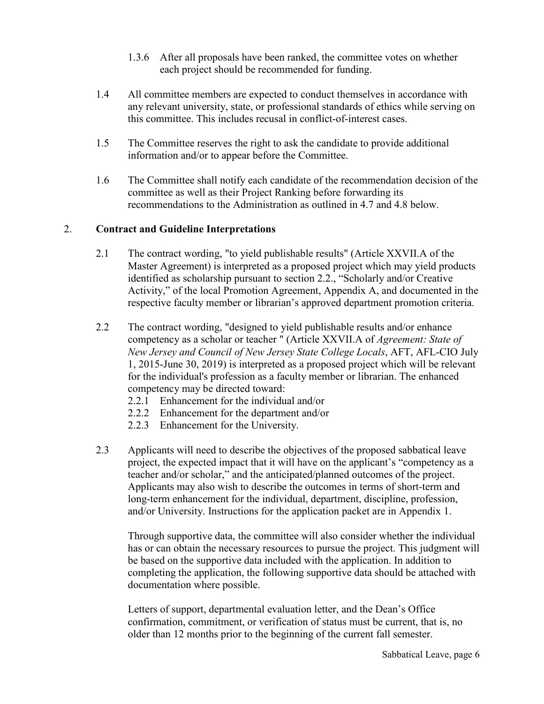- 1.3.6 After all proposals have been ranked, the committee votes on whether each project should be recommended for funding.
- 1.4 All committee members are expected to conduct themselves in accordance with any relevant university, state, or professional standards of ethics while serving on this committee. This includes recusal in conflict-of-interest cases.
- 1.5 The Committee reserves the right to ask the candidate to provide additional information and/or to appear before the Committee.
- 1.6 The Committee shall notify each candidate of the recommendation decision of the committee as well as their Project Ranking before forwarding its recommendations to the Administration as outlined in 4.7 and 4.8 below.

## 2. **Contract and Guideline Interpretations**

- 2.1 The contract wording, "to yield publishable results" (Article XXVII.A of the Master Agreement) is interpreted as a proposed project which may yield products identified as scholarship pursuant to section 2.2., "Scholarly and/or Creative Activity," of the local Promotion Agreement, Appendix A, and documented in the respective faculty member or librarian's approved department promotion criteria.
- 2.2 The contract wording, "designed to yield publishable results and/or enhance competency as a scholar or teacher " (Article XXVII.A of *Agreement: State of New Jersey and Council of New Jersey State College Locals*, AFT, AFL-CIO July 1, 2015-June 30, 2019) is interpreted as a proposed project which will be relevant for the individual's profession as a faculty member or librarian. The enhanced competency may be directed toward:
	- 2.2.1 Enhancement for the individual and/or
	- 2.2.2 Enhancement for the department and/or
	- 2.2.3 Enhancement for the University.
- 2.3 Applicants will need to describe the objectives of the proposed sabbatical leave project, the expected impact that it will have on the applicant's "competency as a teacher and/or scholar," and the anticipated/planned outcomes of the project. Applicants may also wish to describe the outcomes in terms of short-term and long-term enhancement for the individual, department, discipline, profession, and/or University. Instructions for the application packet are in Appendix 1.

Through supportive data, the committee will also consider whether the individual has or can obtain the necessary resources to pursue the project. This judgment will be based on the supportive data included with the application. In addition to completing the application, the following supportive data should be attached with documentation where possible.

Letters of support, departmental evaluation letter, and the Dean's Office confirmation, commitment, or verification of status must be current, that is, no older than 12 months prior to the beginning of the current fall semester.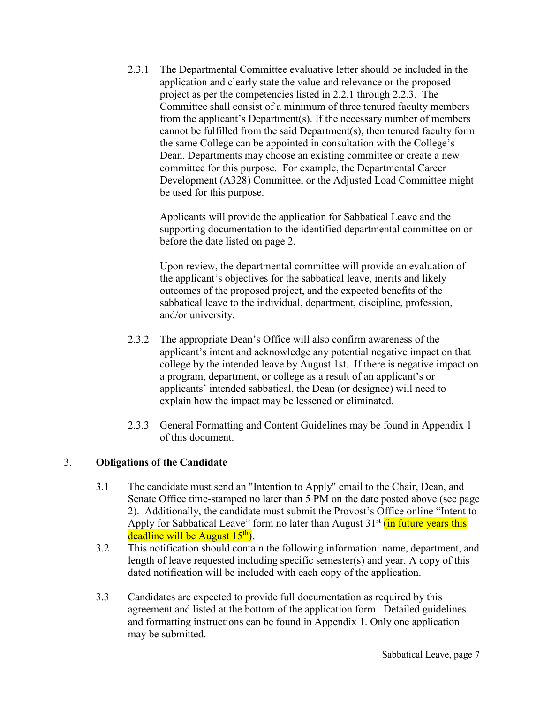2.3.1 The Departmental Committee evaluative letter should be included in the application and clearly state the value and relevance or the proposed project as per the competencies listed in 2.2.1 through 2.2.3. The Committee shall consist of a minimum of three tenured faculty members from the applicant's Department(s). If the necessary number of members cannot be fulfilled from the said Department(s), then tenured faculty form the same College can be appointed in consultation with the College's Dean. Departments may choose an existing committee or create a new committee for this purpose. For example, the Departmental Career Development (A328) Committee, or the Adjusted Load Committee might be used for this purpose.

Applicants will provide the application for Sabbatical Leave and the supporting documentation to the identified departmental committee on or before the date listed on page 2.

Upon review, the departmental committee will provide an evaluation of the applicant's objectives for the sabbatical leave, merits and likely outcomes of the proposed project, and the expected benefits of the sabbatical leave to the individual, department, discipline, profession, and/or university.

- 2.3.2 The appropriate Dean's Office will also confirm awareness of the applicant's intent and acknowledge any potential negative impact on that college by the intended leave by August 1st. If there is negative impact on a program, department, or college as a result of an applicant's or applicants' intended sabbatical, the Dean (or designee) will need to explain how the impact may be lessened or eliminated.
- 2.3.3 General Formatting and Content Guidelines may be found in Appendix 1 of this document.

# 3. **Obligations of the Candidate**

- 3.1 The candidate must send an "Intention to Apply" email to the Chair, Dean, and Senate Office time-stamped no later than 5 PM on the date posted above (see page 2). Additionally, the candidate must submit the Provost's Office online "Intent to Apply for Sabbatical Leave" form no later than August  $31<sup>st</sup>$  (in future years this deadline will be August  $15<sup>th</sup>$ .
- 3.2 This notification should contain the following information: name, department, and length of leave requested including specific semester(s) and year. A copy of this dated notification will be included with each copy of the application.
- 3.3 Candidates are expected to provide full documentation as required by this agreement and listed at the bottom of the application form. Detailed guidelines and formatting instructions can be found in Appendix 1. Only one application may be submitted.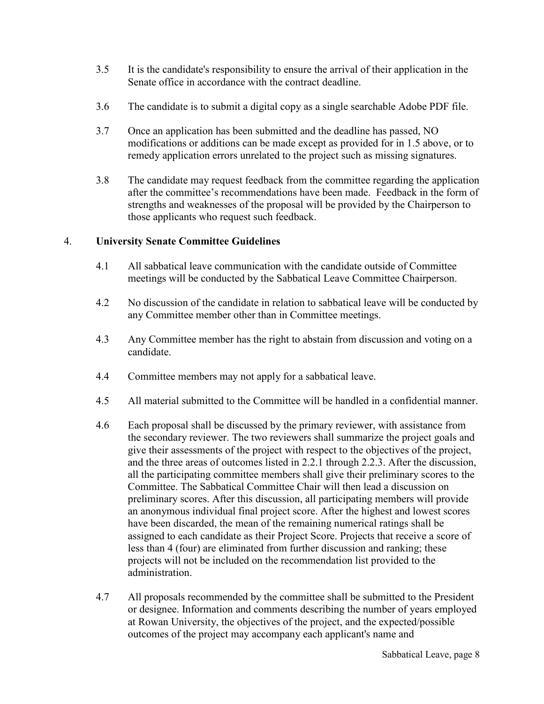- 3.5 It is the candidate's responsibility to ensure the arrival of their application in the Senate office in accordance with the contract deadline.
- 3.6 The candidate is to submit a digital copy as a single searchable Adobe PDF file.
- 3.7 Once an application has been submitted and the deadline has passed, NO modifications or additions can be made except as provided for in 1.5 above, or to remedy application errors unrelated to the project such as missing signatures.
- 3.8 The candidate may request feedback from the committee regarding the application after the committee's recommendations have been made. Feedback in the form of strengths and weaknesses of the proposal will be provided by the Chairperson to those applicants who request such feedback.

# 4. **University Senate Committee Guidelines**

- 4.1 All sabbatical leave communication with the candidate outside of Committee meetings will be conducted by the Sabbatical Leave Committee Chairperson.
- 4.2 No discussion of the candidate in relation to sabbatical leave will be conducted by any Committee member other than in Committee meetings.
- 4.3 Any Committee member has the right to abstain from discussion and voting on a candidate.
- 4.4 Committee members may not apply for a sabbatical leave.
- 4.5 All material submitted to the Committee will be handled in a confidential manner.
- 4.6 Each proposal shall be discussed by the primary reviewer, with assistance from the secondary reviewer. The two reviewers shall summarize the project goals and give their assessments of the project with respect to the objectives of the project, and the three areas of outcomes listed in 2.2.1 through 2.2.3. After the discussion, all the participating committee members shall give their preliminary scores to the Committee. The Sabbatical Committee Chair will then lead a discussion on preliminary scores. After this discussion, all participating members will provide an anonymous individual final project score. After the highest and lowest scores have been discarded, the mean of the remaining numerical ratings shall be assigned to each candidate as their Project Score. Projects that receive a score of less than 4 (four) are eliminated from further discussion and ranking; these projects will not be included on the recommendation list provided to the administration.
- 4.7 All proposals recommended by the committee shall be submitted to the President or designee. Information and comments describing the number of years employed at Rowan University, the objectives of the project, and the expected/possible outcomes of the project may accompany each applicant's name and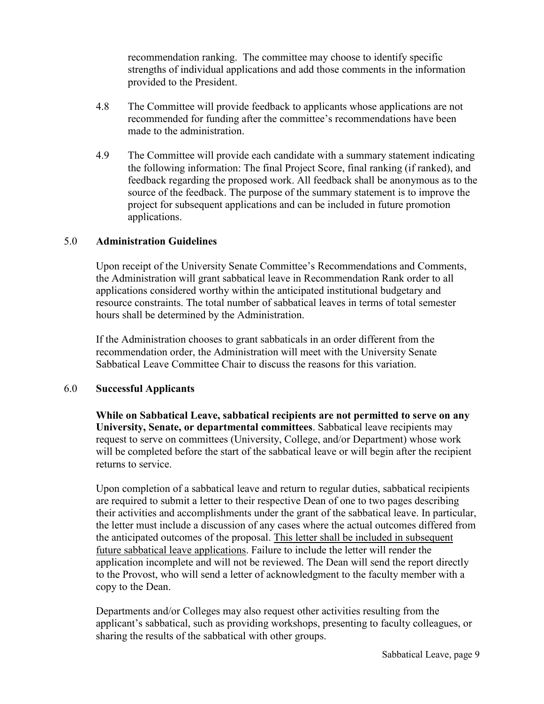recommendation ranking. The committee may choose to identify specific strengths of individual applications and add those comments in the information provided to the President.

- 4.8 The Committee will provide feedback to applicants whose applications are not recommended for funding after the committee's recommendations have been made to the administration.
- 4.9 The Committee will provide each candidate with a summary statement indicating the following information: The final Project Score, final ranking (if ranked), and feedback regarding the proposed work. All feedback shall be anonymous as to the source of the feedback. The purpose of the summary statement is to improve the project for subsequent applications and can be included in future promotion applications.

#### 5.0 **Administration Guidelines**

Upon receipt of the University Senate Committee's Recommendations and Comments, the Administration will grant sabbatical leave in Recommendation Rank order to all applications considered worthy within the anticipated institutional budgetary and resource constraints. The total number of sabbatical leaves in terms of total semester hours shall be determined by the Administration.

If the Administration chooses to grant sabbaticals in an order different from the recommendation order, the Administration will meet with the University Senate Sabbatical Leave Committee Chair to discuss the reasons for this variation.

#### 6.0 **Successful Applicants**

**While on Sabbatical Leave, sabbatical recipients are not permitted to serve on any University, Senate, or departmental committees**. Sabbatical leave recipients may request to serve on committees (University, College, and/or Department) whose work will be completed before the start of the sabbatical leave or will begin after the recipient returns to service.

Upon completion of a sabbatical leave and return to regular duties, sabbatical recipients are required to submit a letter to their respective Dean of one to two pages describing their activities and accomplishments under the grant of the sabbatical leave. In particular, the letter must include a discussion of any cases where the actual outcomes differed from the anticipated outcomes of the proposal. This letter shall be included in subsequent future sabbatical leave applications. Failure to include the letter will render the application incomplete and will not be reviewed. The Dean will send the report directly to the Provost, who will send a letter of acknowledgment to the faculty member with a copy to the Dean.

Departments and/or Colleges may also request other activities resulting from the applicant's sabbatical, such as providing workshops, presenting to faculty colleagues, or sharing the results of the sabbatical with other groups.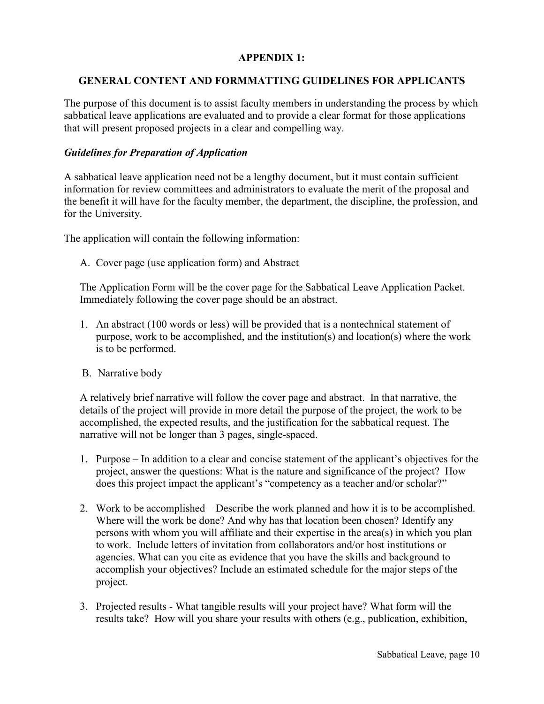#### **APPENDIX 1:**

## **GENERAL CONTENT AND FORMMATTING GUIDELINES FOR APPLICANTS**

The purpose of this document is to assist faculty members in understanding the process by which sabbatical leave applications are evaluated and to provide a clear format for those applications that will present proposed projects in a clear and compelling way.

#### *Guidelines for Preparation of Application*

A sabbatical leave application need not be a lengthy document, but it must contain sufficient information for review committees and administrators to evaluate the merit of the proposal and the benefit it will have for the faculty member, the department, the discipline, the profession, and for the University.

The application will contain the following information:

A. Cover page (use application form) and Abstract

The Application Form will be the cover page for the Sabbatical Leave Application Packet. Immediately following the cover page should be an abstract.

- 1. An abstract (100 words or less) will be provided that is a nontechnical statement of purpose, work to be accomplished, and the institution(s) and location(s) where the work is to be performed.
- B. Narrative body

A relatively brief narrative will follow the cover page and abstract. In that narrative, the details of the project will provide in more detail the purpose of the project, the work to be accomplished, the expected results, and the justification for the sabbatical request. The narrative will not be longer than 3 pages, single-spaced.

- 1. Purpose In addition to a clear and concise statement of the applicant's objectives for the project, answer the questions: What is the nature and significance of the project? How does this project impact the applicant's "competency as a teacher and/or scholar?"
- 2. Work to be accomplished Describe the work planned and how it is to be accomplished. Where will the work be done? And why has that location been chosen? Identify any persons with whom you will affiliate and their expertise in the area(s) in which you plan to work. Include letters of invitation from collaborators and/or host institutions or agencies. What can you cite as evidence that you have the skills and background to accomplish your objectives? Include an estimated schedule for the major steps of the project.
- 3. Projected results What tangible results will your project have? What form will the results take? How will you share your results with others (e.g., publication, exhibition,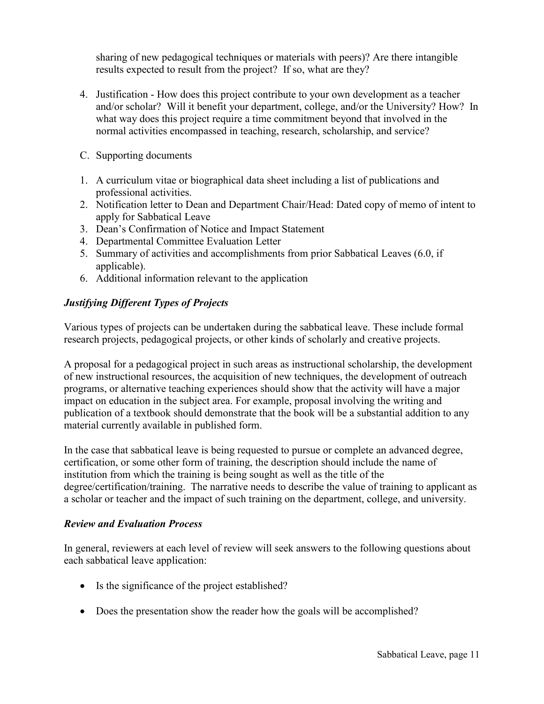sharing of new pedagogical techniques or materials with peers)? Are there intangible results expected to result from the project? If so, what are they?

- 4. Justification How does this project contribute to your own development as a teacher and/or scholar? Will it benefit your department, college, and/or the University? How? In what way does this project require a time commitment beyond that involved in the normal activities encompassed in teaching, research, scholarship, and service?
- C. Supporting documents
- 1. A curriculum vitae or biographical data sheet including a list of publications and professional activities.
- 2. Notification letter to Dean and Department Chair/Head: Dated copy of memo of intent to apply for Sabbatical Leave
- 3. Dean's Confirmation of Notice and Impact Statement
- 4. Departmental Committee Evaluation Letter
- 5. Summary of activities and accomplishments from prior Sabbatical Leaves (6.0, if applicable).
- 6. Additional information relevant to the application

# *Justifying Different Types of Projects*

Various types of projects can be undertaken during the sabbatical leave. These include formal research projects, pedagogical projects, or other kinds of scholarly and creative projects.

A proposal for a pedagogical project in such areas as instructional scholarship, the development of new instructional resources, the acquisition of new techniques, the development of outreach programs, or alternative teaching experiences should show that the activity will have a major impact on education in the subject area. For example, proposal involving the writing and publication of a textbook should demonstrate that the book will be a substantial addition to any material currently available in published form.

In the case that sabbatical leave is being requested to pursue or complete an advanced degree, certification, or some other form of training, the description should include the name of institution from which the training is being sought as well as the title of the degree/certification/training. The narrative needs to describe the value of training to applicant as a scholar or teacher and the impact of such training on the department, college, and university.

## *Review and Evaluation Process*

In general, reviewers at each level of review will seek answers to the following questions about each sabbatical leave application:

- Is the significance of the project established?
- Does the presentation show the reader how the goals will be accomplished?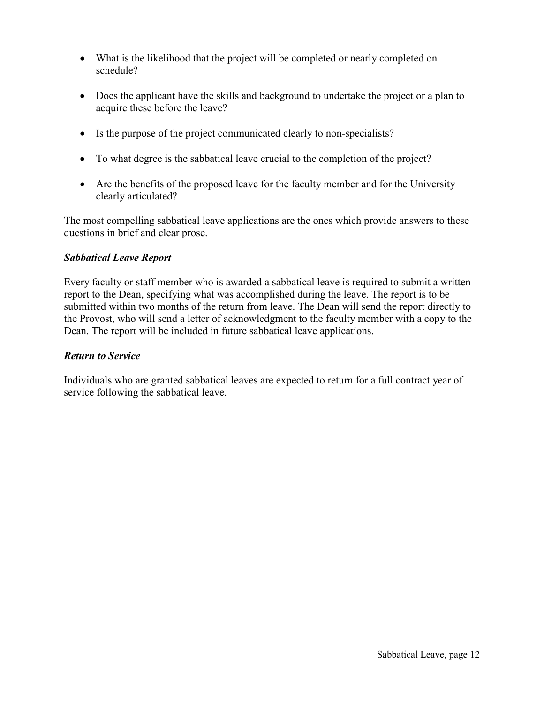- What is the likelihood that the project will be completed or nearly completed on schedule?
- Does the applicant have the skills and background to undertake the project or a plan to acquire these before the leave?
- Is the purpose of the project communicated clearly to non-specialists?
- To what degree is the sabbatical leave crucial to the completion of the project?
- Are the benefits of the proposed leave for the faculty member and for the University clearly articulated?

The most compelling sabbatical leave applications are the ones which provide answers to these questions in brief and clear prose.

## *Sabbatical Leave Report*

Every faculty or staff member who is awarded a sabbatical leave is required to submit a written report to the Dean, specifying what was accomplished during the leave. The report is to be submitted within two months of the return from leave. The Dean will send the report directly to the Provost, who will send a letter of acknowledgment to the faculty member with a copy to the Dean. The report will be included in future sabbatical leave applications.

#### *Return to Service*

Individuals who are granted sabbatical leaves are expected to return for a full contract year of service following the sabbatical leave.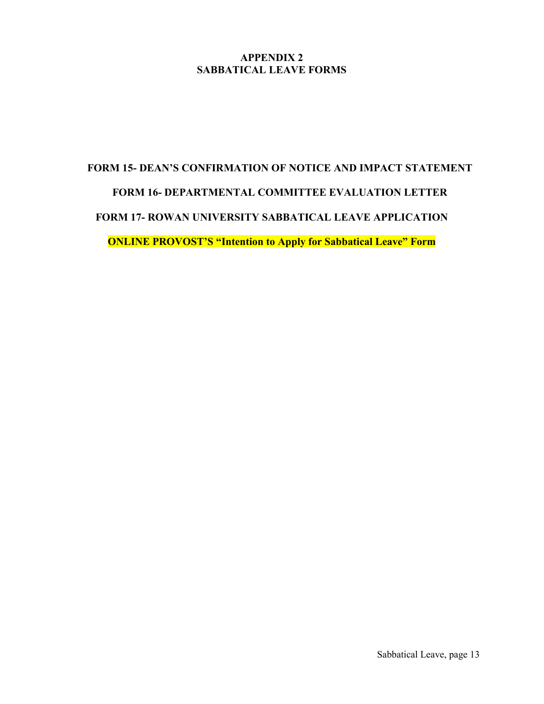## **APPENDIX 2 SABBATICAL LEAVE FORMS**

# **FORM 15- DEAN'S CONFIRMATION OF NOTICE AND IMPACT STATEMENT FORM 16- DEPARTMENTAL COMMITTEE EVALUATION LETTER FORM 17- ROWAN UNIVERSITY SABBATICAL LEAVE APPLICATION ONLINE PROVOST'S "Intention to Apply for Sabbatical Leave" Form**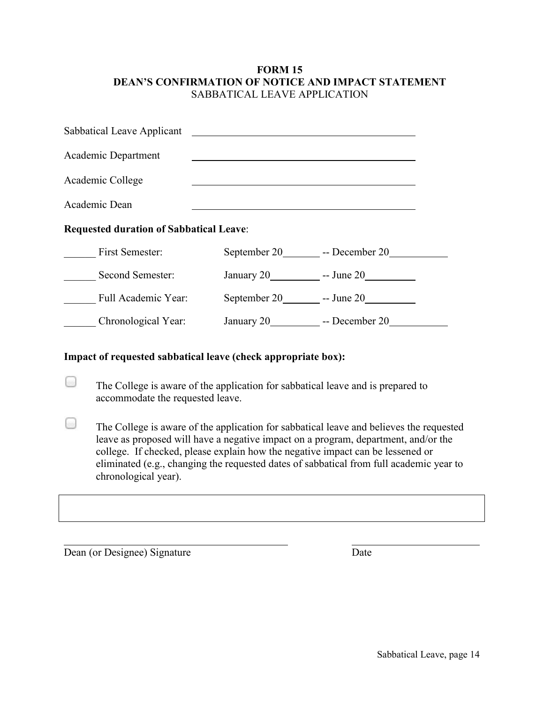## **FORM 15 DEAN'S CONFIRMATION OF NOTICE AND IMPACT STATEMENT** SABBATICAL LEAVE APPLICATION

| Sabbatical Leave Applicant                     |                                |  |
|------------------------------------------------|--------------------------------|--|
| Academic Department                            |                                |  |
| Academic College                               |                                |  |
| Academic Dean                                  |                                |  |
| <b>Requested duration of Sabbatical Leave:</b> |                                |  |
| <b>First Semester:</b>                         | September 20 -- December 20    |  |
| Second Semester:                               | January 20 $\qquad$ -- June 20 |  |
| Full Academic Year:                            | September 20 -- June 20        |  |
| Chronological Year:                            | -- December 20<br>January 20   |  |

#### **Impact of requested sabbatical leave (check appropriate box):**

The College is aware of the application for sabbatical leave and is prepared to accommodate the requested leave.

The College is aware of the application for sabbatical leave and believes the requested leave as proposed will have a negative impact on a program, department, and/or the college. If checked, please explain how the negative impact can be lessened or eliminated (e.g., changing the requested dates of sabbatical from full academic year to chronological year).

Dean (or Designee) Signature Date

 $\overline{a}$ 

61

o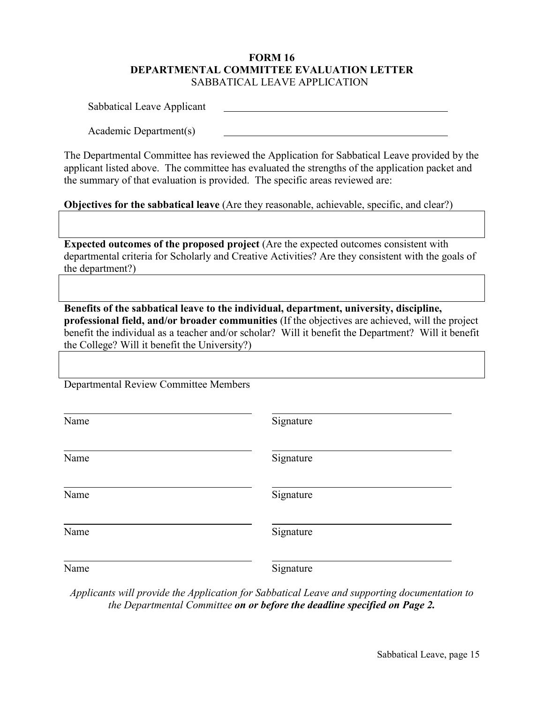#### **FORM 16 DEPARTMENTAL COMMITTEE EVALUATION LETTER**  SABBATICAL LEAVE APPLICATION

Sabbatical Leave Applicant

Academic Department(s)

The Departmental Committee has reviewed the Application for Sabbatical Leave provided by the applicant listed above. The committee has evaluated the strengths of the application packet and the summary of that evaluation is provided. The specific areas reviewed are:

**Objectives for the sabbatical leave** (Are they reasonable, achievable, specific, and clear?)

**Expected outcomes of the proposed project** (Are the expected outcomes consistent with departmental criteria for Scholarly and Creative Activities? Are they consistent with the goals of the department?)

**Benefits of the sabbatical leave to the individual, department, university, discipline, professional field, and/or broader communities** (If the objectives are achieved, will the project benefit the individual as a teacher and/or scholar? Will it benefit the Department? Will it benefit the College? Will it benefit the University?)

Departmental Review Committee Members

| Name | Signature |
|------|-----------|
| Name | Signature |
| Name | Signature |
| Name | Signature |
| Name | Signature |

*Applicants will provide the Application for Sabbatical Leave and supporting documentation to the Departmental Committee on or before the deadline specified on Page 2.*